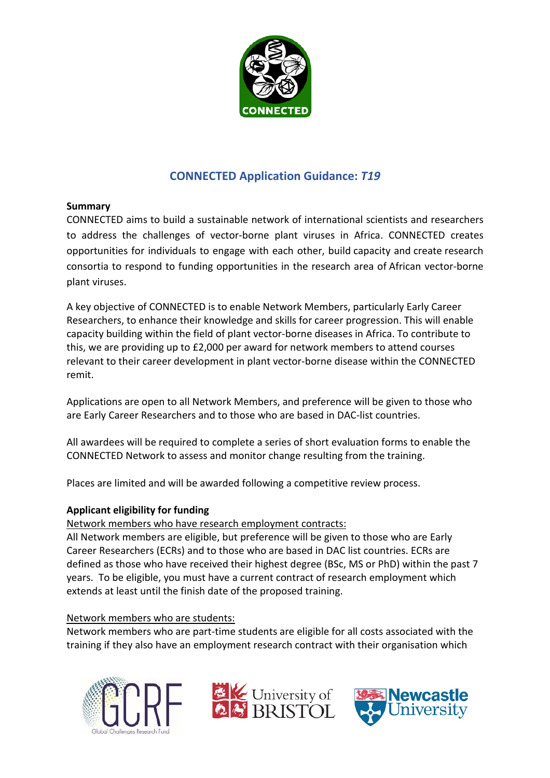

# **CONNECTED Application Guidance:** *T19*

## **Summary**

CONNECTED aims to build a sustainable network of international scientists and researchers to address the challenges of vector-borne plant viruses in Africa. CONNECTED creates opportunities for individuals to engage with each other, build capacity and create research consortia to respond to funding opportunities in the research area of African vector-borne plant viruses.

A key objective of CONNECTED is to enable Network Members, particularly Early Career Researchers, to enhance their knowledge and skills for career progression. This will enable capacity building within the field of plant vector-borne diseases in Africa. To contribute to this, we are providing up to £2,000 per award for network members to attend courses relevant to their career development in plant vector-borne disease within the CONNECTED remit.

Applications are open to all Network Members, and preference will be given to those who are Early Career Researchers and to those who are based in DAC-list countries.

All awardees will be required to complete a series of short evaluation forms to enable the CONNECTED Network to assess and monitor change resulting from the training.

Places are limited and will be awarded following a competitive review process.

# **Applicant eligibility for funding**

# Network members who have research employment contracts:

All Network members are eligible, but preference will be given to those who are Early Career Researchers (ECRs) and to those who are based in DAC list countries. ECRs are defined as those who have received their highest degree (BSc, MS or PhD) within the past 7 years. To be eligible, you must have a current contract of research employment which extends at least until the finish date of the proposed training.

## Network members who are students:

Network members who are part-time students are eligible for all costs associated with the training if they also have an employment research contract with their organisation which





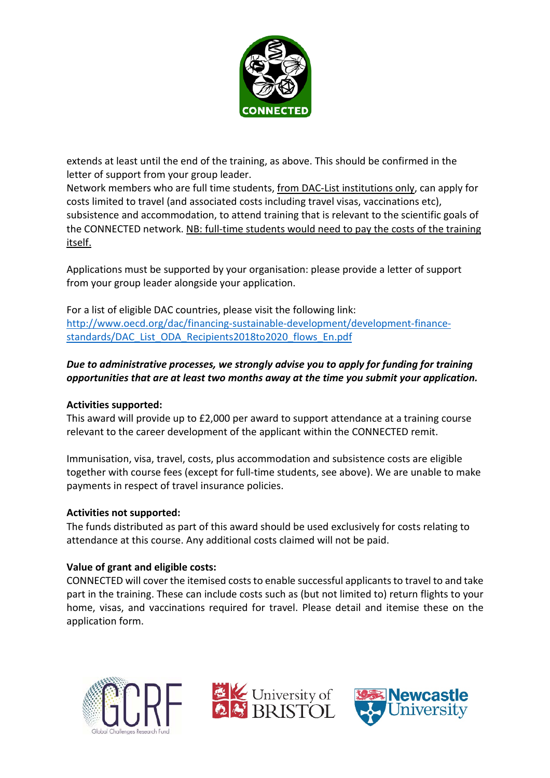

extends at least until the end of the training, as above. This should be confirmed in the letter of support from your group leader.

Network members who are full time students, from DAC-List institutions only, can apply for costs limited to travel (and associated costs including travel visas, vaccinations etc), subsistence and accommodation, to attend training that is relevant to the scientific goals of the CONNECTED network. NB: full-time students would need to pay the costs of the training itself.

Applications must be supported by your organisation: please provide a letter of support from your group leader alongside your application.

For a list of eligible DAC countries, please visit the following link: [http://www.oecd.org/dac/financing-sustainable-development/development-finance](http://www.oecd.org/dac/financing-sustainable-development/development-finance-standards/DAC_List_ODA_Recipients2018to2020_flows_En.pdf)[standards/DAC\\_List\\_ODA\\_Recipients2018to2020\\_flows\\_En.pdf](http://www.oecd.org/dac/financing-sustainable-development/development-finance-standards/DAC_List_ODA_Recipients2018to2020_flows_En.pdf)

# *Due to administrative processes, we strongly advise you to apply for funding for training opportunities that are at least two months away at the time you submit your application.*

## **Activities supported:**

This award will provide up to £2,000 per award to support attendance at a training course relevant to the career development of the applicant within the CONNECTED remit.

Immunisation, visa, travel, costs, plus accommodation and subsistence costs are eligible together with course fees (except for full-time students, see above). We are unable to make payments in respect of travel insurance policies.

## **Activities not supported:**

The funds distributed as part of this award should be used exclusively for costs relating to attendance at this course. Any additional costs claimed will not be paid.

## **Value of grant and eligible costs:**

CONNECTED will cover the itemised costs to enable successful applicants to travel to and take part in the training. These can include costs such as (but not limited to) return flights to your home, visas, and vaccinations required for travel. Please detail and itemise these on the application form.





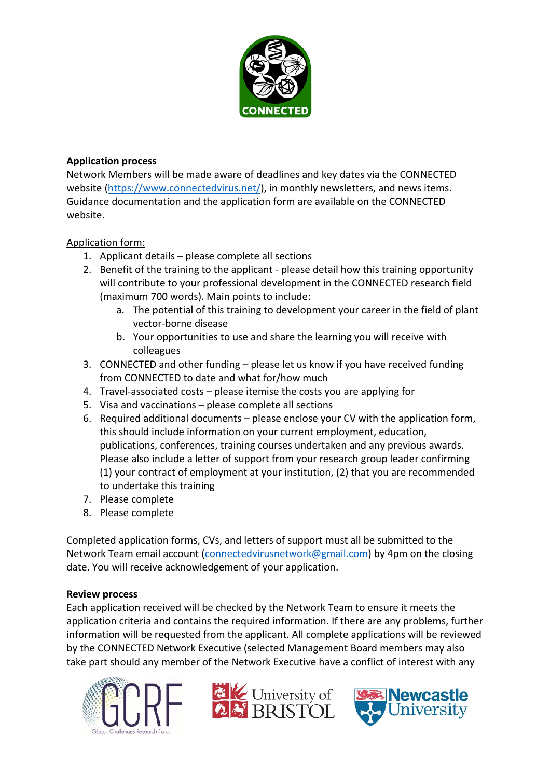

# **Application process**

Network Members will be made aware of deadlines and key dates via the CONNECTED website [\(https://www.connectedvirus.net/\)](https://www.connectedvirus.net/), in monthly newsletters, and news items. Guidance documentation and the application form are available on the CONNECTED website.

# Application form:

- 1. Applicant details please complete all sections
- 2. Benefit of the training to the applicant please detail how this training opportunity will contribute to your professional development in the CONNECTED research field (maximum 700 words). Main points to include:
	- a. The potential of this training to development your career in the field of plant vector-borne disease
	- b. Your opportunities to use and share the learning you will receive with colleagues
- 3. CONNECTED and other funding please let us know if you have received funding from CONNECTED to date and what for/how much
- 4. Travel-associated costs please itemise the costs you are applying for
- 5. Visa and vaccinations please complete all sections
- 6. Required additional documents please enclose your CV with the application form, this should include information on your current employment, education, publications, conferences, training courses undertaken and any previous awards. Please also include a letter of support from your research group leader confirming (1) your contract of employment at your institution, (2) that you are recommended to undertake this training
- 7. Please complete
- 8. Please complete

Completed application forms, CVs, and letters of support must all be submitted to the Network Team email account [\(connectedvirusnetwork@gmail.com\)](mailto:connectedvirusnetwork@gmail.com) by 4pm on the closing date. You will receive acknowledgement of your application.

## **Review process**

Each application received will be checked by the Network Team to ensure it meets the application criteria and contains the required information. If there are any problems, further information will be requested from the applicant. All complete applications will be reviewed by the CONNECTED Network Executive (selected Management Board members may also take part should any member of the Network Executive have a conflict of interest with any





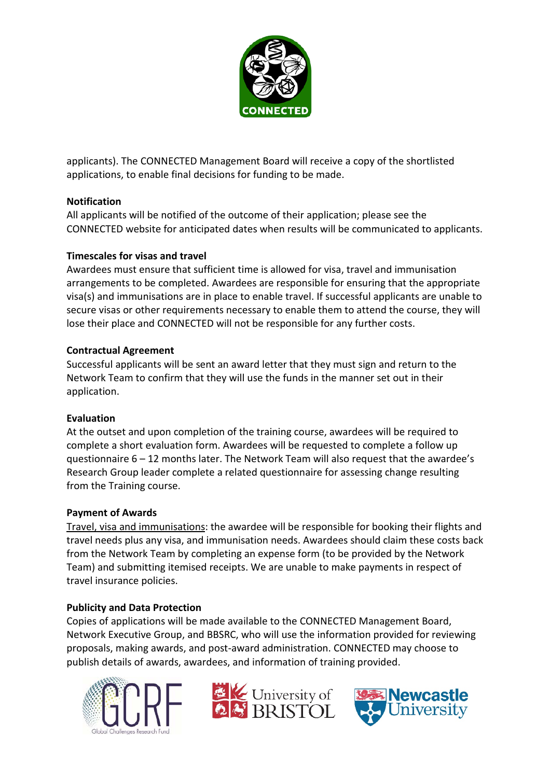

applicants). The CONNECTED Management Board will receive a copy of the shortlisted applications, to enable final decisions for funding to be made.

# **Notification**

All applicants will be notified of the outcome of their application; please see the CONNECTED website for anticipated dates when results will be communicated to applicants.

# **Timescales for visas and travel**

Awardees must ensure that sufficient time is allowed for visa, travel and immunisation arrangements to be completed. Awardees are responsible for ensuring that the appropriate visa(s) and immunisations are in place to enable travel. If successful applicants are unable to secure visas or other requirements necessary to enable them to attend the course, they will lose their place and CONNECTED will not be responsible for any further costs.

# **Contractual Agreement**

Successful applicants will be sent an award letter that they must sign and return to the Network Team to confirm that they will use the funds in the manner set out in their application.

## **Evaluation**

At the outset and upon completion of the training course, awardees will be required to complete a short evaluation form. Awardees will be requested to complete a follow up questionnaire 6 – 12 months later. The Network Team will also request that the awardee's Research Group leader complete a related questionnaire for assessing change resulting from the Training course.

## **Payment of Awards**

Travel, visa and immunisations: the awardee will be responsible for booking their flights and travel needs plus any visa, and immunisation needs. Awardees should claim these costs back from the Network Team by completing an expense form (to be provided by the Network Team) and submitting itemised receipts. We are unable to make payments in respect of travel insurance policies.

## **Publicity and Data Protection**

Copies of applications will be made available to the CONNECTED Management Board, Network Executive Group, and BBSRC, who will use the information provided for reviewing proposals, making awards, and post-award administration. CONNECTED may choose to publish details of awards, awardees, and information of training provided.